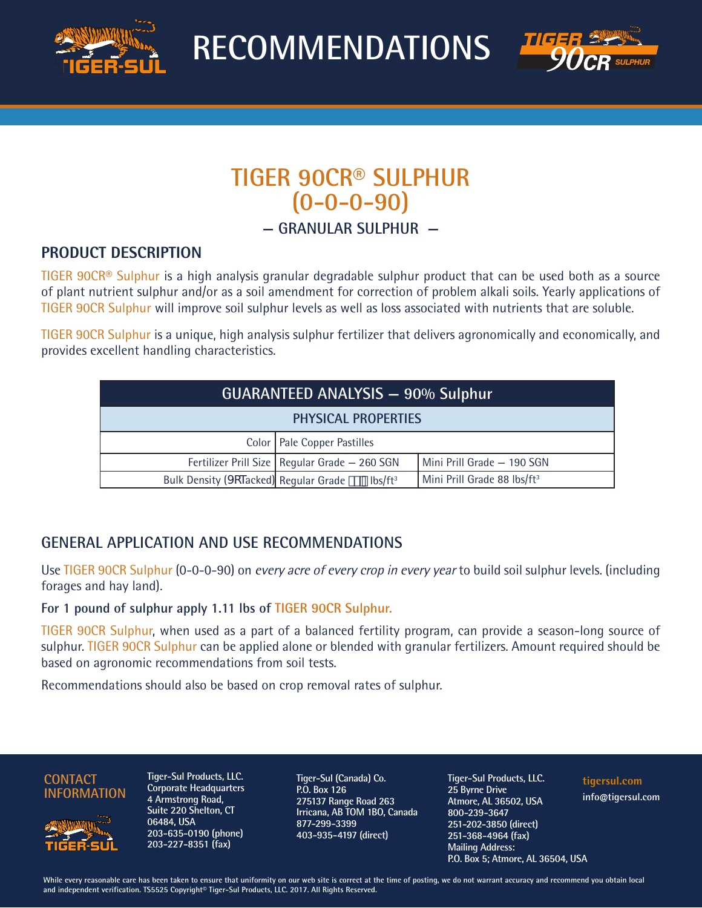**RECOMMENDATIONS**



# **TIGER 90CR® SULPHUR (0-0-0-90)**

## **— GRANULAR SULPHUR —**

### **PRODUCT DESCRIPTION**

TIGER 90 $CR^{\circledast}$  Sulphur is a high analysis granular degradable sulphur product that can be used both as a source of plant nutrient sulphur and/or as a soil amendment for correction of problem alkali soils. Yearly applications of TIGER 90CR Sulphur will improve soil sulphur levels as well as loss associated with nutrients that are soluble.

TIGER 90CR Sulphur is a unique, high analysis sulphur fertilizer that delivers agronomically and economically, and provides excellent handling characteristics.

| GUARANTEED ANALYSIS - 90% Sulphur |                                                                   |                                         |
|-----------------------------------|-------------------------------------------------------------------|-----------------------------------------|
| <b>PHYSICAL PROPERTIES</b>        |                                                                   |                                         |
|                                   | Color   Pale Copper Pastilles                                     |                                         |
|                                   | Fertilizer Prill Size   Regular Grade - 260 SGN                   | Mini Prill Grade - 190 SGN              |
|                                   | Bulk Density (J ceacked) Regular Grade +- $#$ lbs/ft <sup>3</sup> | Mini Prill Grade 88 lbs/ft <sup>3</sup> |

## **GENERAL APPLICATION AND USE RECOMMENDATIONS**

Use TIGER 90CR Sulphur (0-0-0-90) on every acre of every crop in every year to build soil sulphur levels. (including forages and hay land).

#### **For 1 pound of sulphur apply 1.11 lbs of TIGER 90CR Sulphur.**

TIGER 90CR Sulphur, when used as a part of a balanced fertility program, can provide a season-long source of sulphur. TIGER 90CR Sulphur can be applied alone or blended with granular fertilizers. Amount required should be based on agronomic recommendations from soil tests.

Recommendations should also be based on crop removal rates of sulphur.

#### **CONTACT INFORMATION**



**Tiger-Sul Products, LLC. Corporate Headquarters 4 Armstrong Road, Suite 220 Shelton, CT 06484, USA 203-635-0190 (phone) 203-227-8351 (fax)**

**Tiger-Sul (Canada) Co. P.O. Box 126 275137 Range Road 263 Irricana, AB TOM 1BO, Canada 877-299-3399 403-935-4197 (direct)**

**Tiger-Sul Products, LLC. 25 Byrne Drive Atmore, AL 36502, USA 800-239-3647 251-202-3850 (direct) 251-368-4964 (fax) Mailing Address: P.O. Box 5; Atmore, AL 36504, USA**

**tigersul.com info@tigersul.com**

**While every reasonable care has been taken to ensure that uniformity on our web site is correct at the time of posting, we do not warrant accuracy and recommend you obtain local and independent verification. TS5525 Copyright© Tiger-Sul Products, LLC. 2017. All Rights Reserved.**